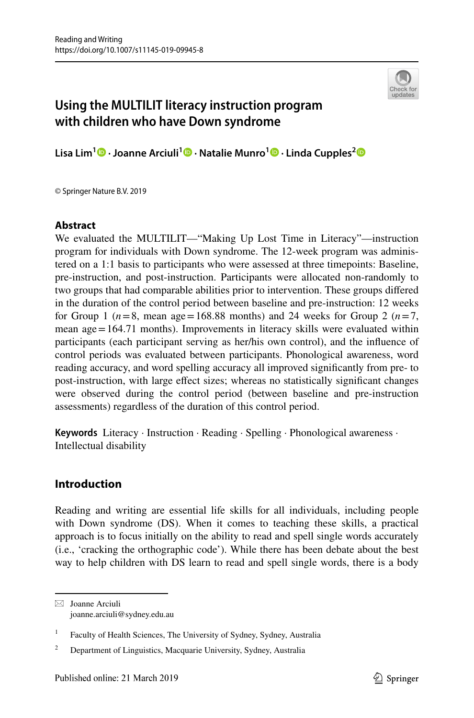

# **Using the MULTILIT literacy instruction program with children who have Down syndrome**

**Lisa Lim1 · Joanne Arciuli1 · Natalie Munro1  [·](http://orcid.org/0000-0002-5870-6378) Linda Cupples[2](http://orcid.org/0000-0003-3659-1642)**

© Springer Nature B.V. 2019

### **Abstract**

We evaluated the MULTILIT—"Making Up Lost Time in Literacy"—instruction program for individuals with Down syndrome. The 12-week program was administered on a 1:1 basis to participants who were assessed at three timepoints: Baseline, pre-instruction, and post-instruction. Participants were allocated non-randomly to two groups that had comparable abilities prior to intervention. These groups difered in the duration of the control period between baseline and pre-instruction: 12 weeks for Group 1 ( $n=8$ , mean age = 168.88 months) and 24 weeks for Group 2 ( $n=7$ , mean  $age = 164.71$  months). Improvements in literacy skills were evaluated within participants (each participant serving as her/his own control), and the infuence of control periods was evaluated between participants. Phonological awareness, word reading accuracy, and word spelling accuracy all improved signifcantly from pre- to post-instruction, with large efect sizes; whereas no statistically signifcant changes were observed during the control period (between baseline and pre-instruction assessments) regardless of the duration of this control period.

**Keywords** Literacy · Instruction · Reading · Spelling · Phonological awareness · Intellectual disability

# **Introduction**

Reading and writing are essential life skills for all individuals, including people with Down syndrome (DS). When it comes to teaching these skills, a practical approach is to focus initially on the ability to read and spell single words accurately (i.e., 'cracking the orthographic code'). While there has been debate about the best way to help children with DS learn to read and spell single words, there is a body

 $\boxtimes$  Joanne Arciuli joanne.arciuli@sydney.edu.au

<sup>&</sup>lt;sup>1</sup> Faculty of Health Sciences, The University of Sydney, Sydney, Australia

<sup>&</sup>lt;sup>2</sup> Department of Linguistics, Macquarie University, Sydney, Australia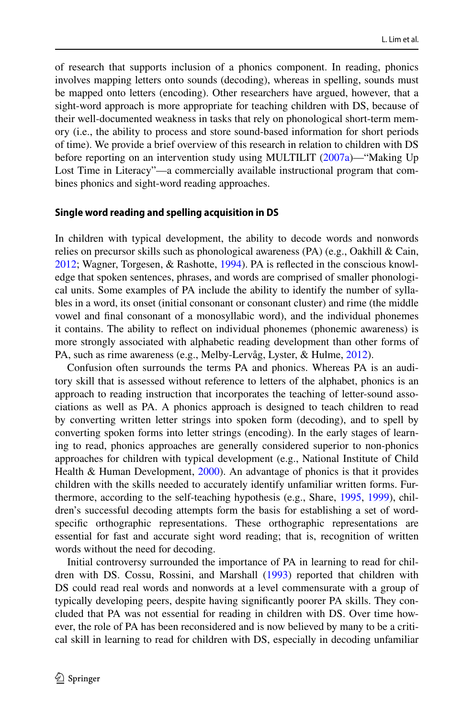of research that supports inclusion of a phonics component. In reading, phonics involves mapping letters onto sounds (decoding), whereas in spelling, sounds must be mapped onto letters (encoding). Other researchers have argued, however, that a sight-word approach is more appropriate for teaching children with DS, because of their well-documented weakness in tasks that rely on phonological short-term memory (i.e., the ability to process and store sound-based information for short periods of time). We provide a brief overview of this research in relation to children with DS before reporting on an intervention study using MULTILIT ([2007a](#page-20-0))—"Making Up Lost Time in Literacy"—a commercially available instructional program that combines phonics and sight-word reading approaches.

#### **Single word reading and spelling acquisition in DS**

In children with typical development, the ability to decode words and nonwords relies on precursor skills such as phonological awareness (PA) (e.g., Oakhill & Cain, [2012](#page-21-0); Wagner, Torgesen, & Rashotte, [1994](#page-21-1)). PA is refected in the conscious knowledge that spoken sentences, phrases, and words are comprised of smaller phonological units. Some examples of PA include the ability to identify the number of syllables in a word, its onset (initial consonant or consonant cluster) and rime (the middle vowel and fnal consonant of a monosyllabic word), and the individual phonemes it contains. The ability to refect on individual phonemes (phonemic awareness) is more strongly associated with alphabetic reading development than other forms of PA, such as rime awareness (e.g., Melby-Lervåg, Lyster, & Hulme, [2012](#page-20-1)).

Confusion often surrounds the terms PA and phonics. Whereas PA is an auditory skill that is assessed without reference to letters of the alphabet, phonics is an approach to reading instruction that incorporates the teaching of letter-sound associations as well as PA. A phonics approach is designed to teach children to read by converting written letter strings into spoken form (decoding), and to spell by converting spoken forms into letter strings (encoding). In the early stages of learning to read, phonics approaches are generally considered superior to non-phonics approaches for children with typical development (e.g., National Institute of Child Health & Human Development, [2000\)](#page-21-2). An advantage of phonics is that it provides children with the skills needed to accurately identify unfamiliar written forms. Furthermore, according to the self-teaching hypothesis (e.g., Share, [1995](#page-21-3), [1999](#page-21-4)), children's successful decoding attempts form the basis for establishing a set of wordspecifc orthographic representations. These orthographic representations are essential for fast and accurate sight word reading; that is, recognition of written words without the need for decoding.

Initial controversy surrounded the importance of PA in learning to read for children with DS. Cossu, Rossini, and Marshall [\(1993](#page-20-2)) reported that children with DS could read real words and nonwords at a level commensurate with a group of typically developing peers, despite having signifcantly poorer PA skills. They concluded that PA was not essential for reading in children with DS. Over time however, the role of PA has been reconsidered and is now believed by many to be a critical skill in learning to read for children with DS, especially in decoding unfamiliar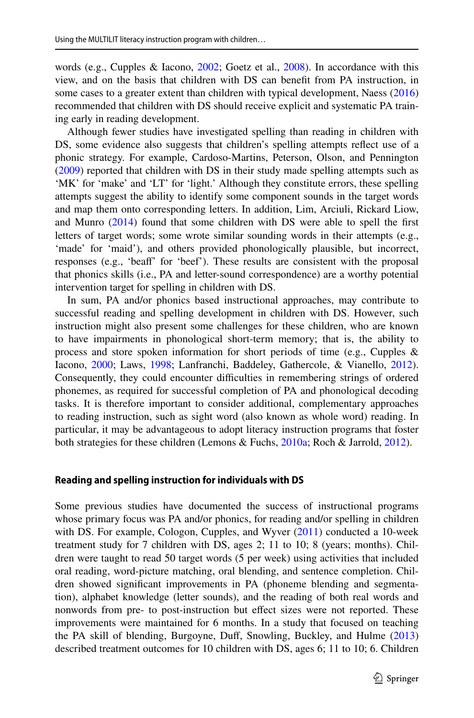words (e.g., Cupples & Iacono, [2002](#page-20-3); Goetz et al., [2008\)](#page-20-4). In accordance with this view, and on the basis that children with DS can beneft from PA instruction, in some cases to a greater extent than children with typical development, Naess [\(2016](#page-20-5)) recommended that children with DS should receive explicit and systematic PA training early in reading development.

Although fewer studies have investigated spelling than reading in children with DS, some evidence also suggests that children's spelling attempts refect use of a phonic strategy. For example, Cardoso-Martins, Peterson, Olson, and Pennington [\(2009](#page-20-6)) reported that children with DS in their study made spelling attempts such as 'MK' for 'make' and 'LT' for 'light.' Although they constitute errors, these spelling attempts suggest the ability to identify some component sounds in the target words and map them onto corresponding letters. In addition, Lim, Arciuli, Rickard Liow, and Munro ([2014\)](#page-20-7) found that some children with DS were able to spell the frst letters of target words; some wrote similar sounding words in their attempts (e.g., 'made' for 'maid'), and others provided phonologically plausible, but incorrect, responses (e.g., 'beaf' for 'beef'). These results are consistent with the proposal that phonics skills (i.e., PA and letter-sound correspondence) are a worthy potential intervention target for spelling in children with DS.

In sum, PA and/or phonics based instructional approaches, may contribute to successful reading and spelling development in children with DS. However, such instruction might also present some challenges for these children, who are known to have impairments in phonological short-term memory; that is, the ability to process and store spoken information for short periods of time (e.g., Cupples & Iacono, [2000;](#page-20-8) Laws, [1998](#page-20-9); Lanfranchi, Baddeley, Gathercole, & Vianello, [2012\)](#page-20-10). Consequently, they could encounter difficulties in remembering strings of ordered phonemes, as required for successful completion of PA and phonological decoding tasks. It is therefore important to consider additional, complementary approaches to reading instruction, such as sight word (also known as whole word) reading. In particular, it may be advantageous to adopt literacy instruction programs that foster both strategies for these children (Lemons & Fuchs, [2010a](#page-20-11); Roch & Jarrold, [2012\)](#page-21-5).

#### **Reading and spelling instruction for individuals with DS**

Some previous studies have documented the success of instructional programs whose primary focus was PA and/or phonics, for reading and/or spelling in children with DS. For example, Cologon, Cupples, and Wyver ([2011\)](#page-20-12) conducted a 10-week treatment study for 7 children with DS, ages 2; 11 to 10; 8 (years; months). Children were taught to read 50 target words (5 per week) using activities that included oral reading, word-picture matching, oral blending, and sentence completion. Children showed signifcant improvements in PA (phoneme blending and segmentation), alphabet knowledge (letter sounds), and the reading of both real words and nonwords from pre- to post-instruction but efect sizes were not reported. These improvements were maintained for 6 months. In a study that focused on teaching the PA skill of blending, Burgoyne, Duff, Snowling, Buckley, and Hulme [\(2013](#page-20-13)) described treatment outcomes for 10 children with DS, ages 6; 11 to 10; 6. Children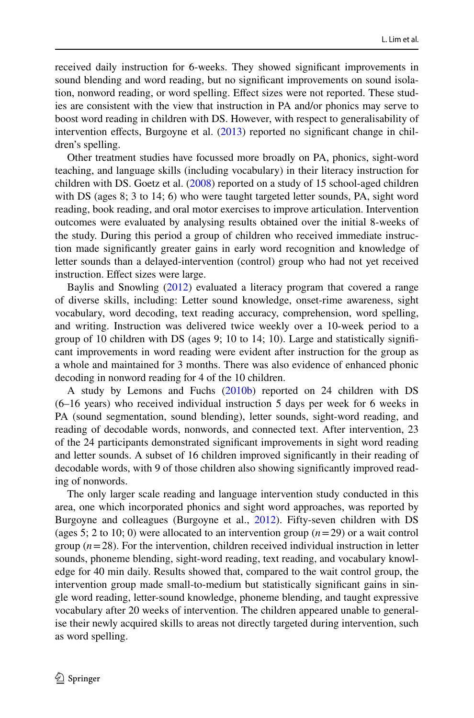received daily instruction for 6-weeks. They showed signifcant improvements in sound blending and word reading, but no signifcant improvements on sound isolation, nonword reading, or word spelling. Efect sizes were not reported. These studies are consistent with the view that instruction in PA and/or phonics may serve to boost word reading in children with DS. However, with respect to generalisability of intervention effects, Burgoyne et al.  $(2013)$  $(2013)$  reported no significant change in children's spelling.

Other treatment studies have focussed more broadly on PA, phonics, sight-word teaching, and language skills (including vocabulary) in their literacy instruction for children with DS. Goetz et al. [\(2008](#page-20-4)) reported on a study of 15 school-aged children with DS (ages 8; 3 to 14; 6) who were taught targeted letter sounds, PA, sight word reading, book reading, and oral motor exercises to improve articulation. Intervention outcomes were evaluated by analysing results obtained over the initial 8-weeks of the study. During this period a group of children who received immediate instruction made signifcantly greater gains in early word recognition and knowledge of letter sounds than a delayed-intervention (control) group who had not yet received instruction. Efect sizes were large.

Baylis and Snowling ([2012\)](#page-20-14) evaluated a literacy program that covered a range of diverse skills, including: Letter sound knowledge, onset-rime awareness, sight vocabulary, word decoding, text reading accuracy, comprehension, word spelling, and writing. Instruction was delivered twice weekly over a 10-week period to a group of 10 children with DS (ages 9; 10 to 14; 10). Large and statistically significant improvements in word reading were evident after instruction for the group as a whole and maintained for 3 months. There was also evidence of enhanced phonic decoding in nonword reading for 4 of the 10 children.

A study by Lemons and Fuchs ([2010b\)](#page-20-15) reported on 24 children with DS (6–16 years) who received individual instruction 5 days per week for 6 weeks in PA (sound segmentation, sound blending), letter sounds, sight-word reading, and reading of decodable words, nonwords, and connected text. After intervention, 23 of the 24 participants demonstrated signifcant improvements in sight word reading and letter sounds. A subset of 16 children improved signifcantly in their reading of decodable words, with 9 of those children also showing signifcantly improved reading of nonwords.

The only larger scale reading and language intervention study conducted in this area, one which incorporated phonics and sight word approaches, was reported by Burgoyne and colleagues (Burgoyne et al., [2012\)](#page-20-16). Fifty-seven children with DS (ages 5; 2 to 10; 0) were allocated to an intervention group (*n*=29) or a wait control group  $(n=28)$ . For the intervention, children received individual instruction in letter sounds, phoneme blending, sight-word reading, text reading, and vocabulary knowledge for 40 min daily. Results showed that, compared to the wait control group, the intervention group made small-to-medium but statistically signifcant gains in single word reading, letter-sound knowledge, phoneme blending, and taught expressive vocabulary after 20 weeks of intervention. The children appeared unable to generalise their newly acquired skills to areas not directly targeted during intervention, such as word spelling.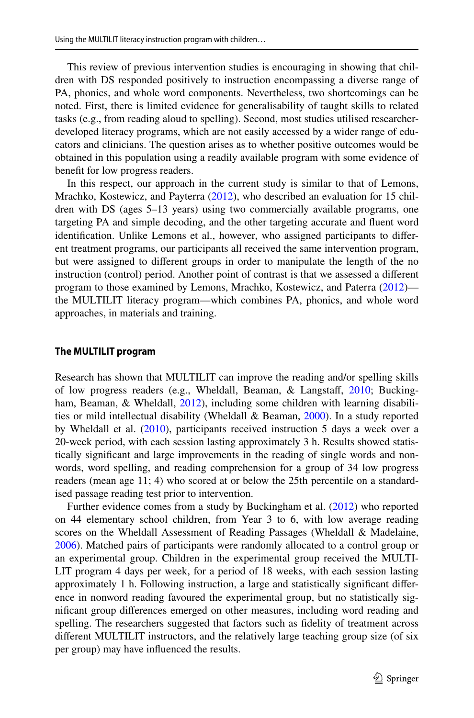This review of previous intervention studies is encouraging in showing that children with DS responded positively to instruction encompassing a diverse range of PA, phonics, and whole word components. Nevertheless, two shortcomings can be noted. First, there is limited evidence for generalisability of taught skills to related tasks (e.g., from reading aloud to spelling). Second, most studies utilised researcherdeveloped literacy programs, which are not easily accessed by a wider range of educators and clinicians. The question arises as to whether positive outcomes would be obtained in this population using a readily available program with some evidence of beneft for low progress readers.

In this respect, our approach in the current study is similar to that of Lemons, Mrachko, Kostewicz, and Payterra [\(2012](#page-20-17)), who described an evaluation for 15 children with DS (ages 5–13 years) using two commercially available programs, one targeting PA and simple decoding, and the other targeting accurate and fuent word identifcation. Unlike Lemons et al., however, who assigned participants to diferent treatment programs, our participants all received the same intervention program, but were assigned to diferent groups in order to manipulate the length of the no instruction (control) period. Another point of contrast is that we assessed a diferent program to those examined by Lemons, Mrachko, Kostewicz, and Paterra ([2012\)](#page-20-17) the MULTILIT literacy program—which combines PA, phonics, and whole word approaches, in materials and training.

#### **The MULTILIT program**

Research has shown that MULTILIT can improve the reading and/or spelling skills of low progress readers (e.g., Wheldall, Beaman, & Langstaff, [2010;](#page-21-6) Bucking-ham, Beaman, & Wheldall, [2012\)](#page-20-18), including some children with learning disabilities or mild intellectual disability (Wheldall & Beaman, [2000\)](#page-21-7). In a study reported by Wheldall et al. [\(2010](#page-21-6)), participants received instruction 5 days a week over a 20-week period, with each session lasting approximately 3 h. Results showed statistically signifcant and large improvements in the reading of single words and nonwords, word spelling, and reading comprehension for a group of 34 low progress readers (mean age 11; 4) who scored at or below the 25th percentile on a standardised passage reading test prior to intervention.

Further evidence comes from a study by Buckingham et al. [\(2012](#page-20-18)) who reported on 44 elementary school children, from Year 3 to 6, with low average reading scores on the Wheldall Assessment of Reading Passages (Wheldall & Madelaine, [2006](#page-21-8)). Matched pairs of participants were randomly allocated to a control group or an experimental group. Children in the experimental group received the MULTI-LIT program 4 days per week, for a period of 18 weeks, with each session lasting approximately 1 h. Following instruction, a large and statistically signifcant diference in nonword reading favoured the experimental group, but no statistically signifcant group diferences emerged on other measures, including word reading and spelling. The researchers suggested that factors such as fdelity of treatment across diferent MULTILIT instructors, and the relatively large teaching group size (of six per group) may have infuenced the results.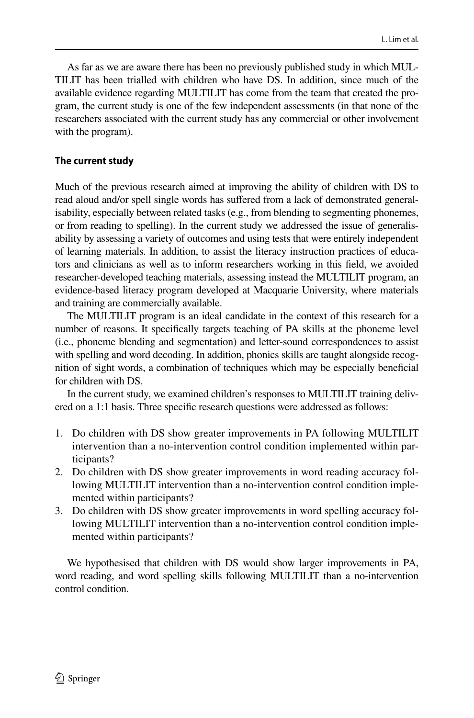As far as we are aware there has been no previously published study in which MUL-TILIT has been trialled with children who have DS. In addition, since much of the available evidence regarding MULTILIT has come from the team that created the program, the current study is one of the few independent assessments (in that none of the researchers associated with the current study has any commercial or other involvement with the program).

# **The current study**

Much of the previous research aimed at improving the ability of children with DS to read aloud and/or spell single words has sufered from a lack of demonstrated generalisability, especially between related tasks (e.g., from blending to segmenting phonemes, or from reading to spelling). In the current study we addressed the issue of generalisability by assessing a variety of outcomes and using tests that were entirely independent of learning materials. In addition, to assist the literacy instruction practices of educators and clinicians as well as to inform researchers working in this feld, we avoided researcher-developed teaching materials, assessing instead the MULTILIT program, an evidence-based literacy program developed at Macquarie University, where materials and training are commercially available.

The MULTILIT program is an ideal candidate in the context of this research for a number of reasons. It specifcally targets teaching of PA skills at the phoneme level (i.e., phoneme blending and segmentation) and letter-sound correspondences to assist with spelling and word decoding. In addition, phonics skills are taught alongside recognition of sight words, a combination of techniques which may be especially benefcial for children with DS.

In the current study, we examined children's responses to MULTILIT training delivered on a 1:1 basis. Three specifc research questions were addressed as follows:

- 1. Do children with DS show greater improvements in PA following MULTILIT intervention than a no-intervention control condition implemented within participants?
- 2. Do children with DS show greater improvements in word reading accuracy following MULTILIT intervention than a no-intervention control condition implemented within participants?
- 3. Do children with DS show greater improvements in word spelling accuracy following MULTILIT intervention than a no-intervention control condition implemented within participants?

We hypothesised that children with DS would show larger improvements in PA, word reading, and word spelling skills following MULTILIT than a no-intervention control condition.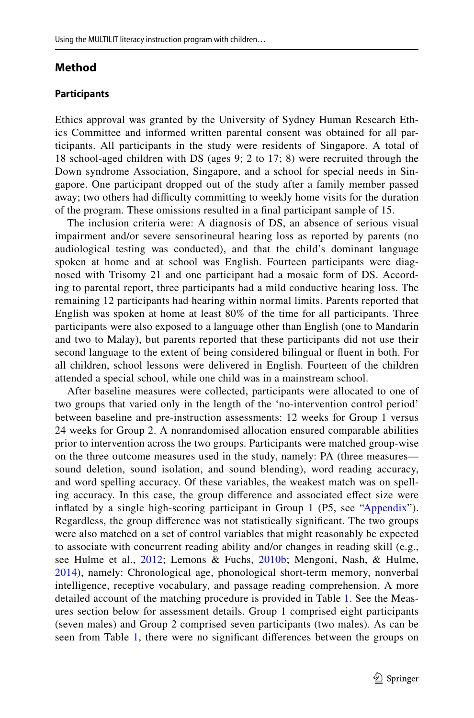# **Method**

### **Participants**

Ethics approval was granted by the University of Sydney Human Research Ethics Committee and informed written parental consent was obtained for all participants. All participants in the study were residents of Singapore. A total of 18 school-aged children with DS (ages 9; 2 to 17; 8) were recruited through the Down syndrome Association, Singapore, and a school for special needs in Singapore. One participant dropped out of the study after a family member passed away; two others had difficulty committing to weekly home visits for the duration of the program. These omissions resulted in a fnal participant sample of 15.

The inclusion criteria were: A diagnosis of DS, an absence of serious visual impairment and/or severe sensorineural hearing loss as reported by parents (no audiological testing was conducted), and that the child's dominant language spoken at home and at school was English. Fourteen participants were diagnosed with Trisomy 21 and one participant had a mosaic form of DS. According to parental report, three participants had a mild conductive hearing loss. The remaining 12 participants had hearing within normal limits. Parents reported that English was spoken at home at least 80% of the time for all participants. Three participants were also exposed to a language other than English (one to Mandarin and two to Malay), but parents reported that these participants did not use their second language to the extent of being considered bilingual or fuent in both. For all children, school lessons were delivered in English. Fourteen of the children attended a special school, while one child was in a mainstream school.

After baseline measures were collected, participants were allocated to one of two groups that varied only in the length of the 'no-intervention control period' between baseline and pre-instruction assessments: 12 weeks for Group 1 versus 24 weeks for Group 2. A nonrandomised allocation ensured comparable abilities prior to intervention across the two groups. Participants were matched group-wise on the three outcome measures used in the study, namely: PA (three measures sound deletion, sound isolation, and sound blending), word reading accuracy, and word spelling accuracy. Of these variables, the weakest match was on spelling accuracy. In this case, the group diference and associated efect size were inflated by a single high-scoring participant in Group 1 (P5, see ["Appendix"](#page-18-0)). Regardless, the group diference was not statistically signifcant. The two groups were also matched on a set of control variables that might reasonably be expected to associate with concurrent reading ability and/or changes in reading skill (e.g., see Hulme et al., [2012;](#page-20-19) Lemons & Fuchs, [2010b;](#page-20-15) Mengoni, Nash, & Hulme, [2014\)](#page-20-20), namely: Chronological age, phonological short-term memory, nonverbal intelligence, receptive vocabulary, and passage reading comprehension. A more detailed account of the matching procedure is provided in Table [1](#page-7-0). See the Measures section below for assessment details. Group 1 comprised eight participants (seven males) and Group 2 comprised seven participants (two males). As can be seen from Table [1,](#page-7-0) there were no signifcant diferences between the groups on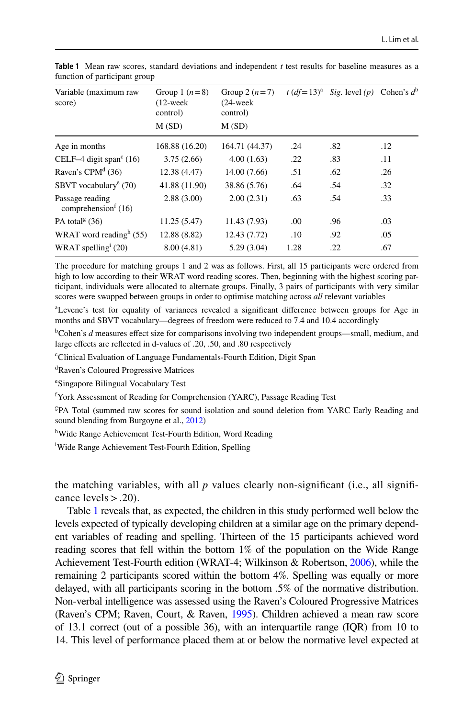| Variable (maximum raw<br>score)                                | Group 1 $(n=8)$<br>$(12$ -week<br>control)<br>M(SD) | Group 2 $(n=7)$<br>$(24$ -week<br>control)<br>M(SD)        |      | $t (df=13)^a$ Sig. level (p) Cohen's $d^b$ |     |
|----------------------------------------------------------------|-----------------------------------------------------|------------------------------------------------------------|------|--------------------------------------------|-----|
| Age in months                                                  | 168.88 (16.20)                                      | 164.71 (44.37)                                             | .24  | .82                                        | .12 |
| CELF-4 digit span $\textdegree$ (16)                           | 3.75(2.66)                                          | 4.00(1.63)                                                 | .22  | .83                                        | .11 |
| Raven's CPM <sup>d</sup> $(36)$                                | 12.38 (4.47)                                        | 14.00 (7.66)                                               | .51  | .62                                        | .26 |
| SBVT vocabulary <sup>e</sup> $(70)$                            | 41.88 (11.90)                                       | 38.86 (5.76)<br>2.00(2.31)<br>11.43 (7.93)<br>12.43 (7.72) | .64  | .54                                        | .32 |
| Passage reading<br>comprehension <sup><math>f(16)</math></sup> | 2.88(3.00)                                          |                                                            | .63  | .54                                        | .33 |
| PA total <sup>g</sup> $(36)$                                   | 11.25(5.47)                                         |                                                            | .00  | .96                                        | .03 |
| WRAT word reading <sup>h</sup> $(55)$                          | 12.88 (8.82)                                        |                                                            | .10  | .92                                        | .05 |
| WRAT spelling $(20)$                                           | 8.00(4.81)                                          | 5.29(3.04)                                                 | 1.28 | .22                                        | .67 |
|                                                                |                                                     |                                                            |      |                                            |     |

<span id="page-7-0"></span>**Table 1** Mean raw scores, standard deviations and independent *t* test results for baseline measures as a function of participant group

The procedure for matching groups 1 and 2 was as follows. First, all 15 participants were ordered from high to low according to their WRAT word reading scores. Then, beginning with the highest scoring participant, individuals were allocated to alternate groups. Finally, 3 pairs of participants with very similar scores were swapped between groups in order to optimise matching across *all* relevant variables

a Levene's test for equality of variances revealed a signifcant diference between groups for Age in months and SBVT vocabulary—degrees of freedom were reduced to 7.4 and 10.4 accordingly

<sup>b</sup>Cohen's *d* measures effect size for comparisons involving two independent groups—small, medium, and large efects are refected in d-values of .20, .50, and .80 respectively

c Clinical Evaluation of Language Fundamentals-Fourth Edition, Digit Span

d Raven's Coloured Progressive Matrices

e Singapore Bilingual Vocabulary Test

<sup>f</sup> York Assessment of Reading for Comprehension (YARC), Passage Reading Test

g PA Total (summed raw scores for sound isolation and sound deletion from YARC Early Reading and sound blending from Burgoyne et al., [2012](#page-20-16))

<sup>h</sup>Wide Range Achievement Test-Fourth Edition, Word Reading

<sup>i</sup>Wide Range Achievement Test-Fourth Edition, Spelling

the matching variables, with all  $p$  values clearly non-significant (i.e., all significance levels  $> .20$ ).

Table [1](#page-7-0) reveals that, as expected, the children in this study performed well below the levels expected of typically developing children at a similar age on the primary dependent variables of reading and spelling. Thirteen of the 15 participants achieved word reading scores that fell within the bottom 1% of the population on the Wide Range Achievement Test-Fourth edition (WRAT-4; Wilkinson & Robertson, [2006](#page-21-9)), while the remaining 2 participants scored within the bottom 4%. Spelling was equally or more delayed, with all participants scoring in the bottom .5% of the normative distribution. Non-verbal intelligence was assessed using the Raven's Coloured Progressive Matrices (Raven's CPM; Raven, Court, & Raven, [1995\)](#page-21-10). Children achieved a mean raw score of 13.1 correct (out of a possible 36), with an interquartile range (IQR) from 10 to 14. This level of performance placed them at or below the normative level expected at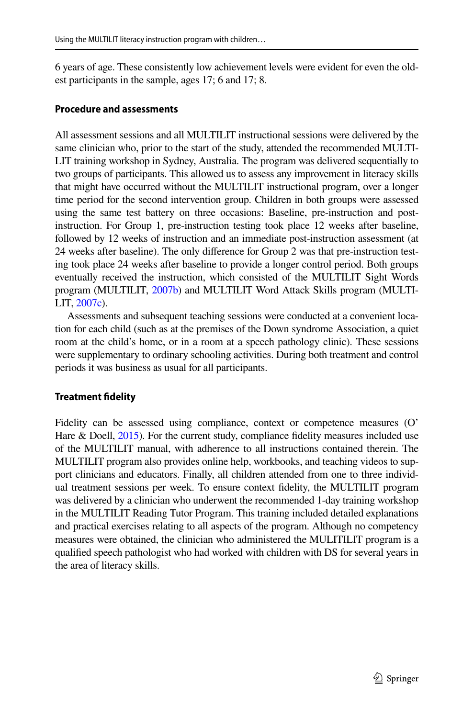6 years of age. These consistently low achievement levels were evident for even the oldest participants in the sample, ages 17; 6 and 17; 8.

### **Procedure and assessments**

All assessment sessions and all MULTILIT instructional sessions were delivered by the same clinician who, prior to the start of the study, attended the recommended MULTI-LIT training workshop in Sydney, Australia. The program was delivered sequentially to two groups of participants. This allowed us to assess any improvement in literacy skills that might have occurred without the MULTILIT instructional program, over a longer time period for the second intervention group. Children in both groups were assessed using the same test battery on three occasions: Baseline, pre-instruction and postinstruction. For Group 1, pre-instruction testing took place 12 weeks after baseline, followed by 12 weeks of instruction and an immediate post-instruction assessment (at 24 weeks after baseline). The only diference for Group 2 was that pre-instruction testing took place 24 weeks after baseline to provide a longer control period. Both groups eventually received the instruction, which consisted of the MULTILIT Sight Words program (MULTILIT, [2007b](#page-20-21)) and MULTILIT Word Attack Skills program (MULTI-LIT, [2007c](#page-20-22)).

Assessments and subsequent teaching sessions were conducted at a convenient location for each child (such as at the premises of the Down syndrome Association, a quiet room at the child's home, or in a room at a speech pathology clinic). These sessions were supplementary to ordinary schooling activities. During both treatment and control periods it was business as usual for all participants.

#### **Treatment fdelity**

Fidelity can be assessed using compliance, context or competence measures (O' Hare & Doell, [2015\)](#page-21-11). For the current study, compliance fidelity measures included use of the MULTILIT manual, with adherence to all instructions contained therein. The MULTILIT program also provides online help, workbooks, and teaching videos to support clinicians and educators. Finally, all children attended from one to three individual treatment sessions per week. To ensure context fdelity, the MULTILIT program was delivered by a clinician who underwent the recommended 1-day training workshop in the MULTILIT Reading Tutor Program. This training included detailed explanations and practical exercises relating to all aspects of the program. Although no competency measures were obtained, the clinician who administered the MULITILIT program is a qualifed speech pathologist who had worked with children with DS for several years in the area of literacy skills.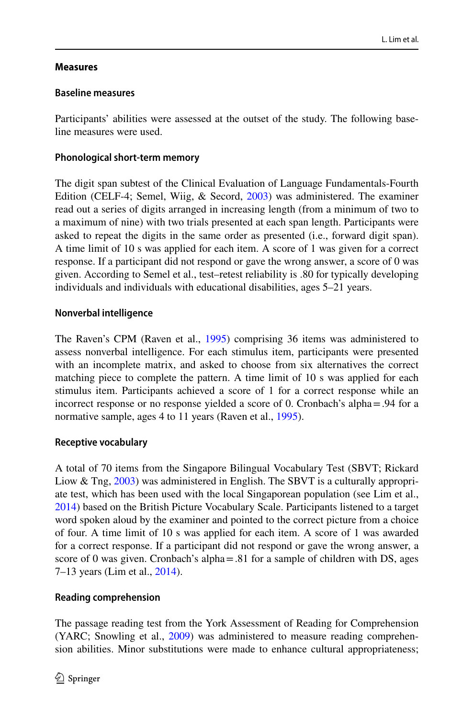# **Measures**

# **Baseline measures**

Participants' abilities were assessed at the outset of the study. The following baseline measures were used.

# **Phonological short‑term memory**

The digit span subtest of the Clinical Evaluation of Language Fundamentals-Fourth Edition (CELF-4; Semel, Wiig, & Secord, [2003\)](#page-21-12) was administered. The examiner read out a series of digits arranged in increasing length (from a minimum of two to a maximum of nine) with two trials presented at each span length. Participants were asked to repeat the digits in the same order as presented (i.e., forward digit span). A time limit of 10 s was applied for each item. A score of 1 was given for a correct response. If a participant did not respond or gave the wrong answer, a score of 0 was given. According to Semel et al., test–retest reliability is .80 for typically developing individuals and individuals with educational disabilities, ages 5–21 years.

# **Nonverbal intelligence**

The Raven's CPM (Raven et al., [1995](#page-21-10)) comprising 36 items was administered to assess nonverbal intelligence. For each stimulus item, participants were presented with an incomplete matrix, and asked to choose from six alternatives the correct matching piece to complete the pattern. A time limit of 10 s was applied for each stimulus item. Participants achieved a score of 1 for a correct response while an incorrect response or no response yielded a score of 0. Cronbach's alpha=.94 for a normative sample, ages 4 to 11 years (Raven et al., [1995](#page-21-10)).

### **Receptive vocabulary**

A total of 70 items from the Singapore Bilingual Vocabulary Test (SBVT; Rickard Liow & Tng, [2003\)](#page-21-13) was administered in English. The SBVT is a culturally appropriate test, which has been used with the local Singaporean population (see Lim et al., [2014](#page-20-7)) based on the British Picture Vocabulary Scale. Participants listened to a target word spoken aloud by the examiner and pointed to the correct picture from a choice of four. A time limit of 10 s was applied for each item. A score of 1 was awarded for a correct response. If a participant did not respond or gave the wrong answer, a score of 0 was given. Cronbach's alpha $=$ .81 for a sample of children with DS, ages 7–13 years (Lim et al., [2014\)](#page-20-7).

# **Reading comprehension**

The passage reading test from the York Assessment of Reading for Comprehension (YARC; Snowling et al., [2009](#page-21-14)) was administered to measure reading comprehension abilities. Minor substitutions were made to enhance cultural appropriateness;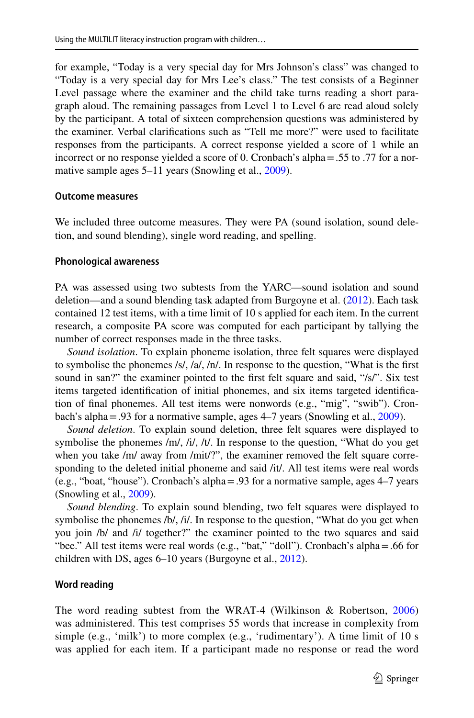for example, "Today is a very special day for Mrs Johnson's class" was changed to "Today is a very special day for Mrs Lee's class." The test consists of a Beginner Level passage where the examiner and the child take turns reading a short paragraph aloud. The remaining passages from Level 1 to Level 6 are read aloud solely by the participant. A total of sixteen comprehension questions was administered by the examiner. Verbal clarifcations such as "Tell me more?" were used to facilitate responses from the participants. A correct response yielded a score of 1 while an incorrect or no response yielded a score of 0. Cronbach's alpha=.55 to .77 for a nor-mative sample ages 5–11 years (Snowling et al., [2009](#page-21-14)).

#### **Outcome measures**

We included three outcome measures. They were PA (sound isolation, sound deletion, and sound blending), single word reading, and spelling.

#### **Phonological awareness**

PA was assessed using two subtests from the YARC—sound isolation and sound deletion—and a sound blending task adapted from Burgoyne et al. ([2012\)](#page-20-16). Each task contained 12 test items, with a time limit of 10 s applied for each item. In the current research, a composite PA score was computed for each participant by tallying the number of correct responses made in the three tasks.

*Sound isolation*. To explain phoneme isolation, three felt squares were displayed to symbolise the phonemes /s/, /a/, /n/. In response to the question, "What is the first sound in san?" the examiner pointed to the first felt square and said, "/s/". Six test items targeted identifcation of initial phonemes, and six items targeted identifcation of fnal phonemes. All test items were nonwords (e.g., "mig", "swib"). Cronbach's alpha=.93 for a normative sample, ages 4–7 years (Snowling et al., [2009\)](#page-21-14).

*Sound deletion*. To explain sound deletion, three felt squares were displayed to symbolise the phonemes /m/, /i/, /t/. In response to the question, "What do you get when you take /m/ away from /mit/?", the examiner removed the felt square corresponding to the deleted initial phoneme and said /it/. All test items were real words (e.g., "boat, "house"). Cronbach's alpha=.93 for a normative sample, ages 4–7 years (Snowling et al., [2009\)](#page-21-14).

*Sound blending*. To explain sound blending, two felt squares were displayed to symbolise the phonemes /b/, /i/. In response to the question, "What do you get when you join /b/ and /i/ together?" the examiner pointed to the two squares and said "bee." All test items were real words (e.g., "bat," "doll"). Cronbach's alpha=.66 for children with DS, ages 6–10 years (Burgoyne et al., [2012](#page-20-16)).

#### **Word reading**

The word reading subtest from the WRAT-4 (Wilkinson & Robertson, [2006](#page-21-9)) was administered. This test comprises 55 words that increase in complexity from simple (e.g., 'milk') to more complex (e.g., 'rudimentary'). A time limit of 10 s was applied for each item. If a participant made no response or read the word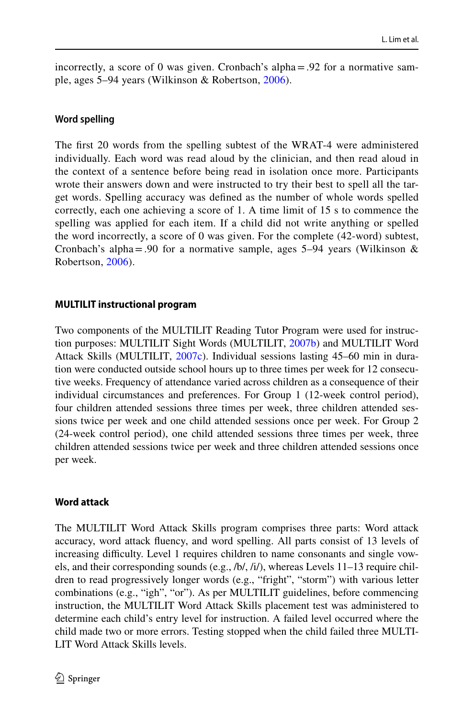incorrectly, a score of 0 was given. Cronbach's alpha=.92 for a normative sample, ages 5–94 years (Wilkinson & Robertson, [2006\)](#page-21-9).

### **Word spelling**

The frst 20 words from the spelling subtest of the WRAT-4 were administered individually. Each word was read aloud by the clinician, and then read aloud in the context of a sentence before being read in isolation once more. Participants wrote their answers down and were instructed to try their best to spell all the target words. Spelling accuracy was defned as the number of whole words spelled correctly, each one achieving a score of 1. A time limit of 15 s to commence the spelling was applied for each item. If a child did not write anything or spelled the word incorrectly, a score of 0 was given. For the complete (42-word) subtest, Cronbach's alpha=.90 for a normative sample, ages 5–94 years (Wilkinson & Robertson, [2006](#page-21-9)).

### **MULTILIT instructional program**

Two components of the MULTILIT Reading Tutor Program were used for instruction purposes: MULTILIT Sight Words (MULTILIT, [2007b](#page-20-21)) and MULTILIT Word Attack Skills (MULTILIT, [2007c\)](#page-20-22). Individual sessions lasting 45–60 min in duration were conducted outside school hours up to three times per week for 12 consecutive weeks. Frequency of attendance varied across children as a consequence of their individual circumstances and preferences. For Group 1 (12-week control period), four children attended sessions three times per week, three children attended sessions twice per week and one child attended sessions once per week. For Group 2 (24-week control period), one child attended sessions three times per week, three children attended sessions twice per week and three children attended sessions once per week.

### **Word attack**

The MULTILIT Word Attack Skills program comprises three parts: Word attack accuracy, word attack fuency, and word spelling. All parts consist of 13 levels of increasing difficulty. Level 1 requires children to name consonants and single vowels, and their corresponding sounds (e.g., /b/, /i/), whereas Levels 11–13 require children to read progressively longer words (e.g., "fright", "storm") with various letter combinations (e.g., "igh", "or"). As per MULTILIT guidelines, before commencing instruction, the MULTILIT Word Attack Skills placement test was administered to determine each child's entry level for instruction. A failed level occurred where the child made two or more errors. Testing stopped when the child failed three MULTI-LIT Word Attack Skills levels.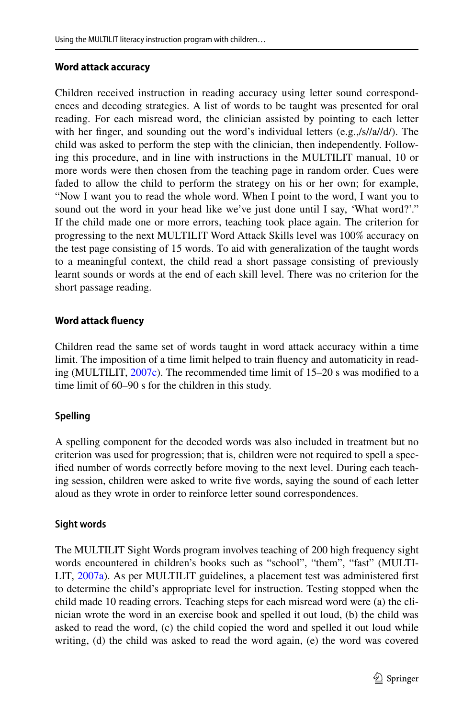# **Word attack accuracy**

Children received instruction in reading accuracy using letter sound correspondences and decoding strategies. A list of words to be taught was presented for oral reading. For each misread word, the clinician assisted by pointing to each letter with her finger, and sounding out the word's individual letters (e.g.,/s//a//d/). The child was asked to perform the step with the clinician, then independently. Following this procedure, and in line with instructions in the MULTILIT manual, 10 or more words were then chosen from the teaching page in random order. Cues were faded to allow the child to perform the strategy on his or her own; for example, "Now I want you to read the whole word. When I point to the word, I want you to sound out the word in your head like we've just done until I say, 'What word?'." If the child made one or more errors, teaching took place again. The criterion for progressing to the next MULTILIT Word Attack Skills level was 100% accuracy on the test page consisting of 15 words. To aid with generalization of the taught words to a meaningful context, the child read a short passage consisting of previously learnt sounds or words at the end of each skill level. There was no criterion for the short passage reading.

# **Word attack fuency**

Children read the same set of words taught in word attack accuracy within a time limit. The imposition of a time limit helped to train fuency and automaticity in reading (MULTILIT, [2007c](#page-20-22)). The recommended time limit of 15–20 s was modifed to a time limit of 60–90 s for the children in this study.

# **Spelling**

A spelling component for the decoded words was also included in treatment but no criterion was used for progression; that is, children were not required to spell a specifed number of words correctly before moving to the next level. During each teaching session, children were asked to write fve words, saying the sound of each letter aloud as they wrote in order to reinforce letter sound correspondences.

### **Sight words**

The MULTILIT Sight Words program involves teaching of 200 high frequency sight words encountered in children's books such as "school", "them", "fast" (MULTI-LIT, [2007a](#page-20-0)). As per MULTILIT guidelines, a placement test was administered frst to determine the child's appropriate level for instruction. Testing stopped when the child made 10 reading errors. Teaching steps for each misread word were (a) the clinician wrote the word in an exercise book and spelled it out loud, (b) the child was asked to read the word, (c) the child copied the word and spelled it out loud while writing, (d) the child was asked to read the word again, (e) the word was covered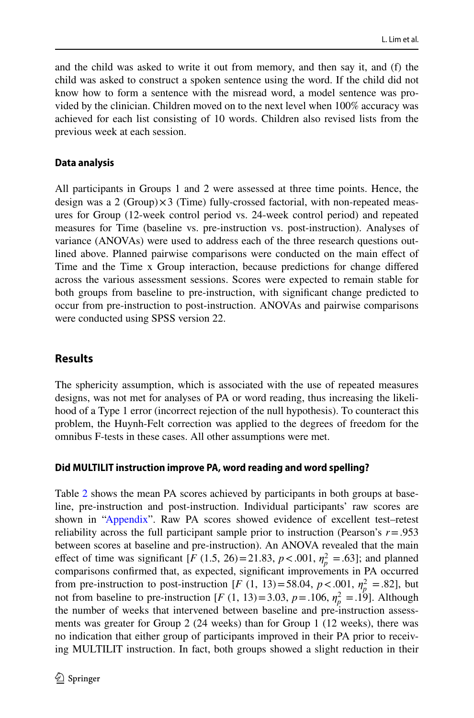and the child was asked to write it out from memory, and then say it, and (f) the child was asked to construct a spoken sentence using the word. If the child did not know how to form a sentence with the misread word, a model sentence was provided by the clinician. Children moved on to the next level when 100% accuracy was achieved for each list consisting of 10 words. Children also revised lists from the previous week at each session.

### **Data analysis**

All participants in Groups 1 and 2 were assessed at three time points. Hence, the design was a 2 (Group) $\times$ 3 (Time) fully-crossed factorial, with non-repeated measures for Group (12-week control period vs. 24-week control period) and repeated measures for Time (baseline vs. pre-instruction vs. post-instruction). Analyses of variance (ANOVAs) were used to address each of the three research questions outlined above. Planned pairwise comparisons were conducted on the main efect of Time and the Time x Group interaction, because predictions for change difered across the various assessment sessions. Scores were expected to remain stable for both groups from baseline to pre-instruction, with signifcant change predicted to occur from pre-instruction to post-instruction. ANOVAs and pairwise comparisons were conducted using SPSS version 22.

# **Results**

The sphericity assumption, which is associated with the use of repeated measures designs, was not met for analyses of PA or word reading, thus increasing the likelihood of a Type 1 error (incorrect rejection of the null hypothesis). To counteract this problem, the Huynh-Felt correction was applied to the degrees of freedom for the omnibus F-tests in these cases. All other assumptions were met.

### **Did MULTILIT instruction improve PA, word reading and word spelling?**

Table [2](#page-14-0) shows the mean PA scores achieved by participants in both groups at baseline, pre-instruction and post-instruction. Individual participants' raw scores are shown in ["Appendix](#page-18-0)". Raw PA scores showed evidence of excellent test–retest reliability across the full participant sample prior to instruction (Pearson's *r*=.953 between scores at baseline and pre-instruction). An ANOVA revealed that the main effect of time was significant  $[F (1.5, 26) = 21.83, p < .001, \eta_p^2 = .63]$ ; and planned comparisons confrmed that, as expected, signifcant improvements in PA occurred from pre-instruction to post-instruction [*F* (1, 13)=58.04, *p* < .001,  $\eta_p^2$  = .82], but not from baseline to pre-instruction [*F* (1, 13) = 3.03, *p* = .106,  $\eta_p^2 = .19$ ]. Although the number of weeks that intervened between baseline and pre-instruction assessments was greater for Group 2 (24 weeks) than for Group 1 (12 weeks), there was no indication that either group of participants improved in their PA prior to receiving MULTILIT instruction. In fact, both groups showed a slight reduction in their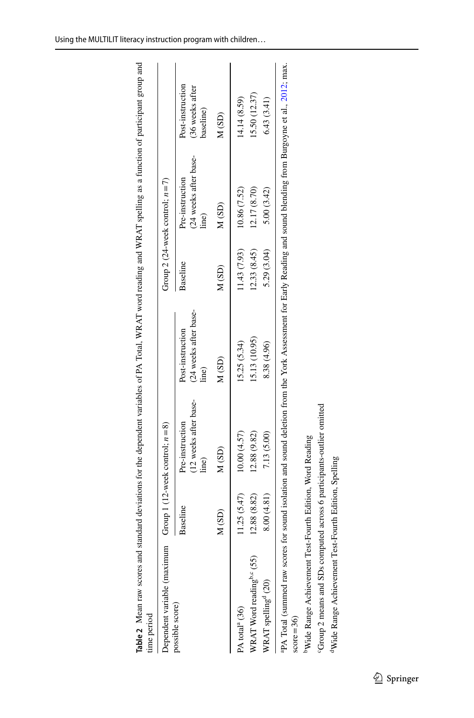| time period                                                           |              |                                                                                                                                       |                                                   |              |                                                   |                                                  |
|-----------------------------------------------------------------------|--------------|---------------------------------------------------------------------------------------------------------------------------------------|---------------------------------------------------|--------------|---------------------------------------------------|--------------------------------------------------|
| Dependent variable (maximum                                           |              | Group 1 (12-week control; $n=8$ )                                                                                                     |                                                   |              | Group 2 (24-week control; $n = 7$ )               |                                                  |
| possible score)                                                       | Baseline     | (12 weeks after base-<br>Pre-instruction<br>line)                                                                                     | (24 weeks after base-<br>Post-instruction<br>ine) | Baseline     | (24 weeks after base-<br>Pre-instruction<br>line) | Post-instruction<br>(36 weeks after<br>baseline) |
|                                                                       | M(SD)        | M(SD)                                                                                                                                 | M(SD)                                             | M(SD)        | M(SD)                                             | M(SD)                                            |
| PA total <sup>a</sup> (36)                                            | 11.25(5.47)  | 10.00(4.57)                                                                                                                           | 15.25(5.34)                                       | 11.43 (7.93) | 10.86 (7.52)                                      | 14.14 (8.59)                                     |
| WRAT Word reading <sup>b,c</sup> (55)                                 | 12.88 (8.82) | 12.88 (9.82)                                                                                                                          | 15.13 (10.95)                                     | 12.33(8.45)  | 12.17 (8.70)                                      | 15.50 (12.37)                                    |
| WRAT spelling <sup>d</sup> (20)                                       | 8.00 (4.81)  | 7.13 (5.00)                                                                                                                           | 8.38 (4.96)                                       | 5.29 (3.04)  | 5.00 (3.42)                                       | 6.43(3.41)                                       |
| aPA Total (summed raw scores<br>$score = 36$                          |              | for sound isolation and sound deletion from the York Assessment for Early Reading and sound blending from Burgoyne et al., 2012, max. |                                                   |              |                                                   |                                                  |
| <sup>b</sup> Wide Range Achievement Test-Fourth Edition, Word Reading |              |                                                                                                                                       |                                                   |              |                                                   |                                                  |

**Table 2** Mean raw scores and standard deviations for the dependent variables of PA Total, WRAT word reading and WRAT spelling as a function of participant group and time period spelling as a function of participant group A WDAT Ė  $\frac{1}{2}$  and  $\frac{1}{2}$  are  $\frac{1}{2}$  and  $\frac{1}{2}$  and  $\frac{1}{2}$  are  $\frac{1}{2}$ .  $\frac{1}{2}$  of  $\cos \theta$  for the desired l, , ,  $\overline{\phantom{a}}$ É

<span id="page-14-0"></span>

cGroup 2 means and SDs computed across 6 participants-outlier omitted

<sup>6</sup>Group 2 means and SDs computed across 6 participants-outlier omitted

<sup>d</sup>Wide Range Achievement Test-Fourth Edition, Spelling

<sup>d</sup>Wide Range Achievement Test-Fourth Edition, Spelling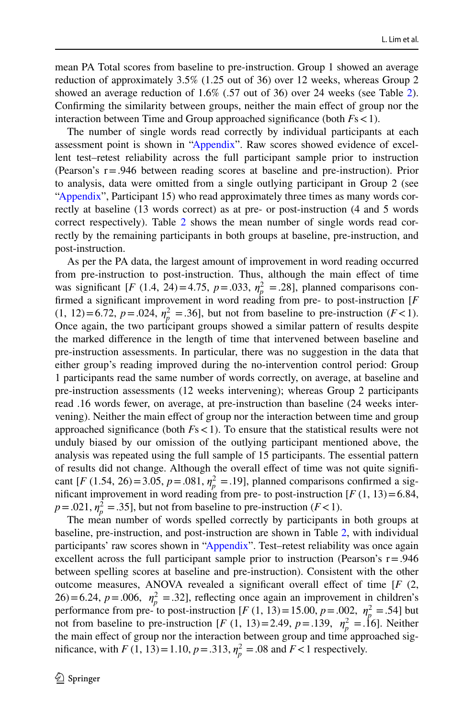mean PA Total scores from baseline to pre-instruction. Group 1 showed an average reduction of approximately 3.5% (1.25 out of 36) over 12 weeks, whereas Group 2 showed an average reduction of 1.6% (.57 out of 36) over 24 weeks (see Table [2\)](#page-14-0). Confrming the similarity between groups, neither the main efect of group nor the interaction between Time and Group approached signifcance (both *F*s<1).

The number of single words read correctly by individual participants at each assessment point is shown in ["Appendix](#page-18-0)". Raw scores showed evidence of excellent test–retest reliability across the full participant sample prior to instruction (Pearson's r=.946 between reading scores at baseline and pre-instruction). Prior to analysis, data were omitted from a single outlying participant in Group 2 (see ["Appendix](#page-18-0)", Participant 15) who read approximately three times as many words correctly at baseline (13 words correct) as at pre- or post-instruction (4 and 5 words correct respectively). Table [2](#page-14-0) shows the mean number of single words read correctly by the remaining participants in both groups at baseline, pre-instruction, and post-instruction.

As per the PA data, the largest amount of improvement in word reading occurred from pre-instruction to post-instruction. Thus, although the main efect of time was significant [*F* (1.4, 24)=4.75,  $p = .033$ ,  $\eta_p^2 = .28$ ], planned comparisons confrmed a signifcant improvement in word reading from pre- to post-instruction [*F* (1, 12)=6.72,  $p = .024$ ,  $\eta_p^2 = .36$ ], but not from baseline to pre-instruction ( $F < 1$ ). Once again, the two participant groups showed a similar pattern of results despite the marked diference in the length of time that intervened between baseline and pre-instruction assessments. In particular, there was no suggestion in the data that either group's reading improved during the no-intervention control period: Group 1 participants read the same number of words correctly, on average, at baseline and pre-instruction assessments (12 weeks intervening); whereas Group 2 participants read .16 words fewer, on average, at pre-instruction than baseline (24 weeks intervening). Neither the main efect of group nor the interaction between time and group approached significance (both  $Fs < 1$ ). To ensure that the statistical results were not unduly biased by our omission of the outlying participant mentioned above, the analysis was repeated using the full sample of 15 participants. The essential pattern of results did not change. Although the overall effect of time was not quite significant [*F* (1.54, 26)=3.05, *p* = .081,  $\eta_p^2$  = .19], planned comparisons confirmed a significant improvement in word reading from pre- to post-instruction  $[F(1, 13)=6.84]$ ,  $p = .021$ ,  $\eta_p^2 = .35$ ], but not from baseline to pre-instruction (*F* < 1).

The mean number of words spelled correctly by participants in both groups at baseline, pre-instruction, and post-instruction are shown in Table [2,](#page-14-0) with individual participants' raw scores shown in ["Appendix](#page-18-0)". Test–retest reliability was once again excellent across the full participant sample prior to instruction (Pearson's  $r = .946$ ) between spelling scores at baseline and pre-instruction). Consistent with the other outcome measures, ANOVA revealed a significant overall effect of time  $[F (2,$ 26)=6.24,  $p = .006$ ,  $\eta_p^2 = .32$ , reflecting once again an improvement in children's performance from pre- to post-instruction [*F* (1, 13) = 15.00,  $p = .002$ ,  $n_p^2 = .54$ ] but not from baseline to pre-instruction [*F* (1, 13)=2.49, *p* = .139,  $\eta_p^2 = 16$ ]. Neither the main efect of group nor the interaction between group and time approached significance, with *F* (1, 13) = 1.10,  $p = .313$ ,  $\eta_p^2 = .08$  and  $F < 1$  respectively.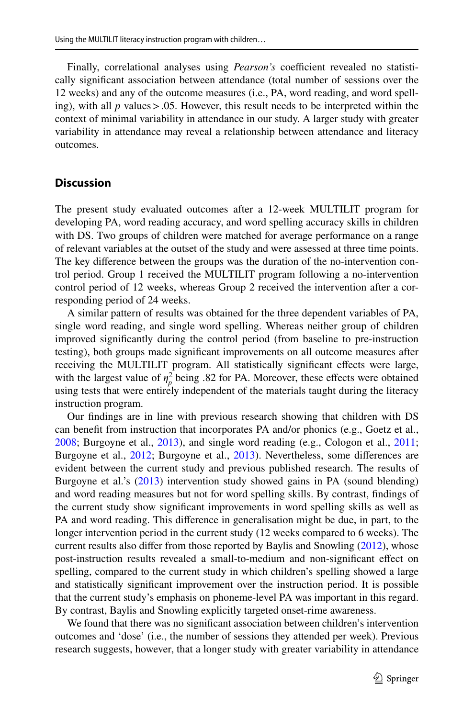Finally, correlational analyses using *Pearson's* coefficient revealed no statistically signifcant association between attendance (total number of sessions over the 12 weeks) and any of the outcome measures (i.e., PA, word reading, and word spelling), with all  $p$  values  $> 0.05$ . However, this result needs to be interpreted within the context of minimal variability in attendance in our study. A larger study with greater variability in attendance may reveal a relationship between attendance and literacy outcomes.

### **Discussion**

The present study evaluated outcomes after a 12-week MULTILIT program for developing PA, word reading accuracy, and word spelling accuracy skills in children with DS. Two groups of children were matched for average performance on a range of relevant variables at the outset of the study and were assessed at three time points. The key diference between the groups was the duration of the no-intervention control period. Group 1 received the MULTILIT program following a no-intervention control period of 12 weeks, whereas Group 2 received the intervention after a corresponding period of 24 weeks.

A similar pattern of results was obtained for the three dependent variables of PA, single word reading, and single word spelling. Whereas neither group of children improved signifcantly during the control period (from baseline to pre-instruction testing), both groups made signifcant improvements on all outcome measures after receiving the MULTILIT program. All statistically signifcant efects were large, with the largest value of  $\eta_p^2$  being .82 for PA. Moreover, these effects were obtained using tests that were entirely independent of the materials taught during the literacy instruction program.

Our fndings are in line with previous research showing that children with DS can beneft from instruction that incorporates PA and/or phonics (e.g., Goetz et al., [2008](#page-20-4); Burgoyne et al., [2013](#page-20-13)), and single word reading (e.g., Cologon et al., [2011;](#page-20-12) Burgoyne et al., [2012;](#page-20-16) Burgoyne et al., [2013\)](#page-20-13). Nevertheless, some diferences are evident between the current study and previous published research. The results of Burgoyne et al.'s [\(2013](#page-20-13)) intervention study showed gains in PA (sound blending) and word reading measures but not for word spelling skills. By contrast, fndings of the current study show signifcant improvements in word spelling skills as well as PA and word reading. This diference in generalisation might be due, in part, to the longer intervention period in the current study (12 weeks compared to 6 weeks). The current results also difer from those reported by Baylis and Snowling ([2012\)](#page-20-14), whose post-instruction results revealed a small-to-medium and non-signifcant efect on spelling, compared to the current study in which children's spelling showed a large and statistically signifcant improvement over the instruction period. It is possible that the current study's emphasis on phoneme-level PA was important in this regard. By contrast, Baylis and Snowling explicitly targeted onset-rime awareness.

We found that there was no signifcant association between children's intervention outcomes and 'dose' (i.e., the number of sessions they attended per week). Previous research suggests, however, that a longer study with greater variability in attendance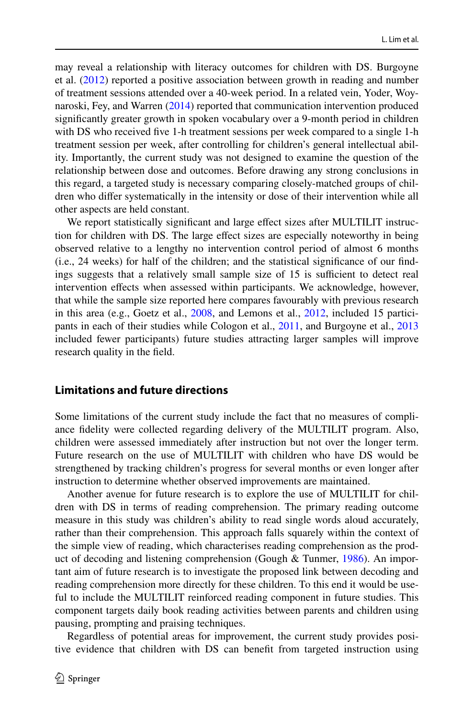may reveal a relationship with literacy outcomes for children with DS. Burgoyne et al. [\(2012](#page-20-16)) reported a positive association between growth in reading and number of treatment sessions attended over a 40-week period. In a related vein, Yoder, Woynaroski, Fey, and Warren ([2014\)](#page-21-15) reported that communication intervention produced signifcantly greater growth in spoken vocabulary over a 9-month period in children with DS who received five 1-h treatment sessions per week compared to a single 1-h treatment session per week, after controlling for children's general intellectual ability. Importantly, the current study was not designed to examine the question of the relationship between dose and outcomes. Before drawing any strong conclusions in this regard, a targeted study is necessary comparing closely-matched groups of children who difer systematically in the intensity or dose of their intervention while all other aspects are held constant.

We report statistically significant and large effect sizes after MULTILIT instruction for children with DS. The large efect sizes are especially noteworthy in being observed relative to a lengthy no intervention control period of almost 6 months (i.e., 24 weeks) for half of the children; and the statistical signifcance of our fndings suggests that a relatively small sample size of 15 is sufficient to detect real intervention efects when assessed within participants. We acknowledge, however, that while the sample size reported here compares favourably with previous research in this area (e.g., Goetz et al., [2008,](#page-20-4) and Lemons et al., [2012](#page-20-17), included 15 participants in each of their studies while Cologon et al., [2011](#page-20-12), and Burgoyne et al., [2013](#page-20-13) included fewer participants) future studies attracting larger samples will improve research quality in the feld.

### **Limitations and future directions**

Some limitations of the current study include the fact that no measures of compliance fdelity were collected regarding delivery of the MULTILIT program. Also, children were assessed immediately after instruction but not over the longer term. Future research on the use of MULTILIT with children who have DS would be strengthened by tracking children's progress for several months or even longer after instruction to determine whether observed improvements are maintained.

Another avenue for future research is to explore the use of MULTILIT for children with DS in terms of reading comprehension. The primary reading outcome measure in this study was children's ability to read single words aloud accurately, rather than their comprehension. This approach falls squarely within the context of the simple view of reading, which characterises reading comprehension as the product of decoding and listening comprehension (Gough & Tunmer, [1986](#page-20-23)). An important aim of future research is to investigate the proposed link between decoding and reading comprehension more directly for these children. To this end it would be useful to include the MULTILIT reinforced reading component in future studies. This component targets daily book reading activities between parents and children using pausing, prompting and praising techniques.

Regardless of potential areas for improvement, the current study provides positive evidence that children with DS can beneft from targeted instruction using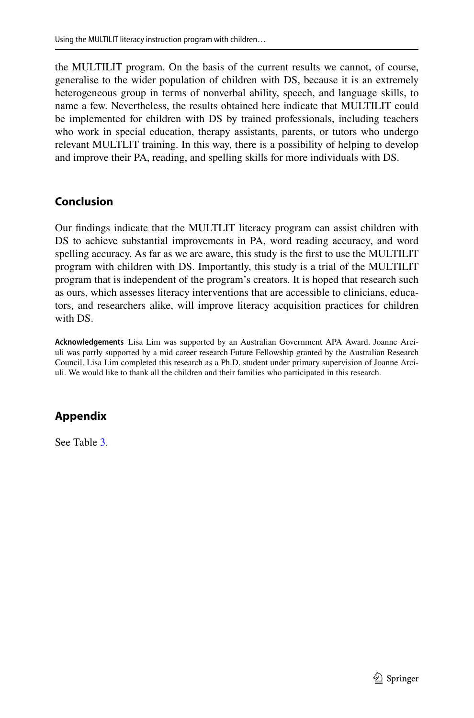the MULTILIT program. On the basis of the current results we cannot, of course, generalise to the wider population of children with DS, because it is an extremely heterogeneous group in terms of nonverbal ability, speech, and language skills, to name a few. Nevertheless, the results obtained here indicate that MULTILIT could be implemented for children with DS by trained professionals, including teachers who work in special education, therapy assistants, parents, or tutors who undergo relevant MULTLIT training. In this way, there is a possibility of helping to develop and improve their PA, reading, and spelling skills for more individuals with DS.

# **Conclusion**

Our fndings indicate that the MULTLIT literacy program can assist children with DS to achieve substantial improvements in PA, word reading accuracy, and word spelling accuracy. As far as we are aware, this study is the frst to use the MULTILIT program with children with DS. Importantly, this study is a trial of the MULTILIT program that is independent of the program's creators. It is hoped that research such as ours, which assesses literacy interventions that are accessible to clinicians, educators, and researchers alike, will improve literacy acquisition practices for children with DS.

**Acknowledgements** Lisa Lim was supported by an Australian Government APA Award. Joanne Arciuli was partly supported by a mid career research Future Fellowship granted by the Australian Research Council. Lisa Lim completed this research as a Ph.D. student under primary supervision of Joanne Arciuli. We would like to thank all the children and their families who participated in this research.

# <span id="page-18-0"></span>**Appendix**

See Table [3.](#page-19-0)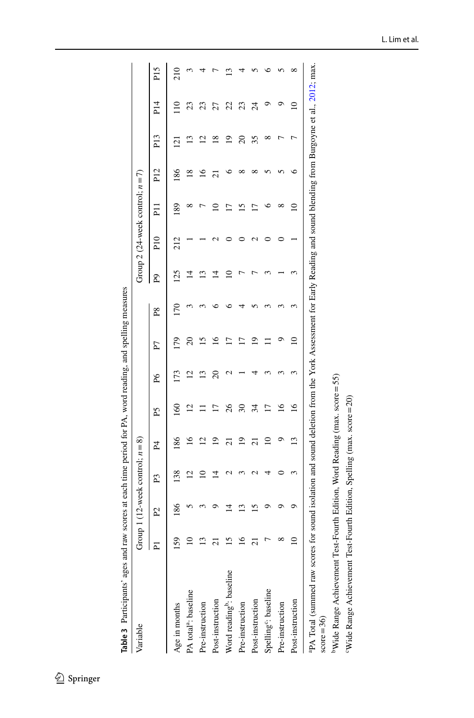| Variable                                  |                   |    | Group 1 (12-week control: $n=8$ ) |                                                                                                                                      |                    |                |            |             |     |     | Group 2 (24-week control; $n = 7$ ) |                 |             |                 |                 |
|-------------------------------------------|-------------------|----|-----------------------------------|--------------------------------------------------------------------------------------------------------------------------------------|--------------------|----------------|------------|-------------|-----|-----|-------------------------------------|-----------------|-------------|-----------------|-----------------|
|                                           | $\mathbf{I}$<br>Ā | 2  | P3                                | P4                                                                                                                                   | Ě                  | $_{\rm P6}$    | P7         | $_{\rm P8}$ | L   | P10 | $\overline{1}$                      | P <sub>12</sub> | P13         | P <sub>14</sub> | P <sub>15</sub> |
| Age in months                             | 51                | 86 | 38                                | 86                                                                                                                                   | 8                  | 173            | <b>PLI</b> | <b>PLI</b>  | 125 | 212 | 89                                  | 86              | $\bar{\Xi}$ |                 | 210             |
| PA total <sup>a</sup> : baseline          |                   |    | $\bar{\omega}$                    | $\tilde{=}$                                                                                                                          | $\bar{\mathbf{c}}$ | $\bar{\omega}$ |            |             |     |     |                                     | ∞               |             | 23              |                 |
| Pre-instruction                           |                   |    |                                   | $\bar{\omega}$                                                                                                                       |                    |                |            |             |     |     |                                     | ۰               |             | 23              |                 |
| Post-instruction                          |                   |    |                                   | ഉ                                                                                                                                    |                    |                |            |             |     |     |                                     |                 | $\infty$    | 27              |                 |
| Word reading <sup>b</sup> : baseline      |                   |    |                                   | ಸ                                                                                                                                    | 8                  |                |            |             |     |     | ŗ                                   |                 | ∘           | 22              |                 |
| Pre-instruction                           |                   |    |                                   | ഉ                                                                                                                                    | 20                 |                |            |             |     |     |                                     |                 | 20          | 23              |                 |
| Post-instruction                          |                   |    |                                   | ಸ                                                                                                                                    | 24                 |                |            |             |     |     | ŗ                                   |                 | 35          | 24              |                 |
| Spelling <sup>c</sup> : baseline          |                   |    |                                   |                                                                                                                                      |                    |                |            |             |     |     |                                     |                 |             |                 |                 |
| Pre-instruction                           |                   |    |                                   |                                                                                                                                      | ⊻                  |                |            |             |     |     |                                     |                 |             |                 |                 |
| Post-instruction                          |                   |    |                                   | $\overline{13}$                                                                                                                      | এ                  |                | ≘          |             |     |     |                                     | ٥               |             |                 | ∞               |
| aPA Total (summed raw scores<br>$2c = mc$ |                   |    |                                   | for sound isolation and sound deletion from the York Assessment for Early Reading and sound blending from Burgoyne et al., 2012; max |                    |                |            |             |     |     |                                     |                 |             |                 |                 |

Table 3 Participants' ages and raw scores at each time period for PA, word reading, and spelling measures **Table 3** Participants' ages and raw scores at each time period for PA, word reading, and spelling measures

 $score=36$ 

<sup>b</sup>Wide Range Achievement Test-Fourth Edition, Word Reading (max. score=55) bWide Range Achievement Test-Fourth Edition, Word Reading (max. score=55)

<span id="page-19-0"></span>"Wide Range Achievement Test-Fourth Edition, Spelling (max. score=20) cWide Range Achievement Test-Fourth Edition, Spelling (max. score=20)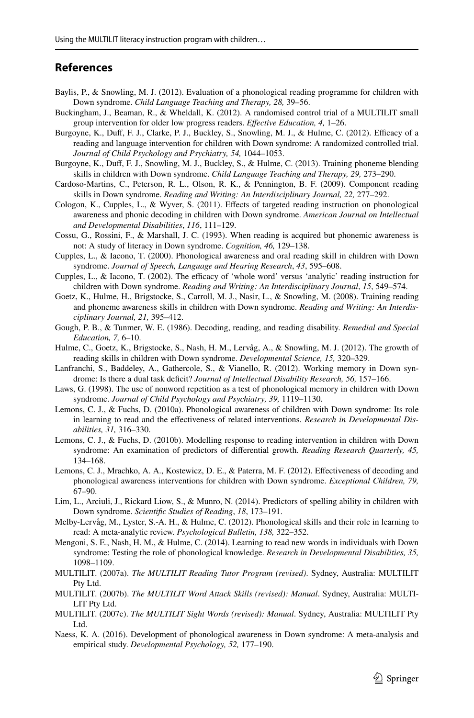# **References**

- <span id="page-20-14"></span>Baylis, P., & Snowling, M. J. (2012). Evaluation of a phonological reading programme for children with Down syndrome. *Child Language Teaching and Therapy, 28,* 39–56.
- <span id="page-20-18"></span>Buckingham, J., Beaman, R., & Wheldall, K. (2012). A randomised control trial of a MULTILIT small group intervention for older low progress readers. *Efective Education, 4,* 1–26.
- <span id="page-20-16"></span>Burgoyne, K., Duff, F. J., Clarke, P. J., Buckley, S., Snowling, M. J., & Hulme, C. (2012). Efficacy of a reading and language intervention for children with Down syndrome: A randomized controlled trial. *Journal of Child Psychology and Psychiatry, 54,* 1044–1053.
- <span id="page-20-13"></span>Burgoyne, K., Duf, F. J., Snowling, M. J., Buckley, S., & Hulme, C. (2013). Training phoneme blending skills in children with Down syndrome. *Child Language Teaching and Therapy, 29,* 273–290.
- <span id="page-20-6"></span>Cardoso-Martins, C., Peterson, R. L., Olson, R. K., & Pennington, B. F. (2009). Component reading skills in Down syndrome. *Reading and Writing: An Interdisciplinary Journal, 22,* 277–292.
- <span id="page-20-12"></span>Cologon, K., Cupples, L., & Wyver, S. (2011). Efects of targeted reading instruction on phonological awareness and phonic decoding in children with Down syndrome. *American Journal on Intellectual and Developmental Disabilities*, *116*, 111–129.
- <span id="page-20-2"></span>Cossu, G., Rossini, F., & Marshall, J. C. (1993). When reading is acquired but phonemic awareness is not: A study of literacy in Down syndrome. *Cognition, 46,* 129–138.
- <span id="page-20-8"></span>Cupples, L., & Iacono, T. (2000). Phonological awareness and oral reading skill in children with Down syndrome. *Journal of Speech, Language and Hearing Research*, *43*, 595–608.
- <span id="page-20-3"></span>Cupples, L., & Iacono, T. (2002). The efficacy of 'whole word' versus 'analytic' reading instruction for children with Down syndrome. *Reading and Writing: An Interdisciplinary Journal*, *15*, 549–574.
- <span id="page-20-4"></span>Goetz, K., Hulme, H., Brigstocke, S., Carroll, M. J., Nasir, L., & Snowling, M. (2008). Training reading and phoneme awareness skills in children with Down syndrome. *Reading and Writing: An Interdisciplinary Journal, 21,* 395–412.
- <span id="page-20-23"></span>Gough, P. B., & Tunmer, W. E. (1986). Decoding, reading, and reading disability. *Remedial and Special Education, 7,* 6–10.
- <span id="page-20-19"></span>Hulme, C., Goetz, K., Brigstocke, S., Nash, H. M., Lervåg, A., & Snowling, M. J. (2012). The growth of reading skills in children with Down syndrome. *Developmental Science, 15,* 320–329.
- <span id="page-20-10"></span>Lanfranchi, S., Baddeley, A., Gathercole, S., & Vianello, R. (2012). Working memory in Down syndrome: Is there a dual task deficit? *Journal of Intellectual Disability Research*, 56, 157-166.
- <span id="page-20-9"></span>Laws, G. (1998). The use of nonword repetition as a test of phonological memory in children with Down syndrome. *Journal of Child Psychology and Psychiatry, 39,* 1119–1130.
- <span id="page-20-11"></span>Lemons, C. J., & Fuchs, D. (2010a). Phonological awareness of children with Down syndrome: Its role in learning to read and the efectiveness of related interventions. *Research in Developmental Disabilities, 31,* 316–330.
- <span id="page-20-15"></span>Lemons, C. J., & Fuchs, D. (2010b). Modelling response to reading intervention in children with Down syndrome: An examination of predictors of diferential growth. *Reading Research Quarterly, 45,* 134–168.
- <span id="page-20-17"></span>Lemons, C. J., Mrachko, A. A., Kostewicz, D. E., & Paterra, M. F. (2012). Efectiveness of decoding and phonological awareness interventions for children with Down syndrome. *Exceptional Children, 79,* 67–90.
- <span id="page-20-7"></span>Lim, L., Arciuli, J., Rickard Liow, S., & Munro, N. (2014). Predictors of spelling ability in children with Down syndrome. *Scientifc Studies of Reading*, *18*, 173–191.
- <span id="page-20-1"></span>Melby-Lervåg, M., Lyster, S.-A. H., & Hulme, C. (2012). Phonological skills and their role in learning to read: A meta-analytic review. *Psychological Bulletin, 138,* 322–352.
- <span id="page-20-20"></span>Mengoni, S. E., Nash, H. M., & Hulme, C. (2014). Learning to read new words in individuals with Down syndrome: Testing the role of phonological knowledge. *Research in Developmental Disabilities, 35,* 1098–1109.
- <span id="page-20-0"></span>MULTILIT. (2007a). *The MULTILIT Reading Tutor Program (revised)*. Sydney, Australia: MULTILIT Pty Ltd.
- <span id="page-20-21"></span>MULTILIT. (2007b). *The MULTILIT Word Attack Skills (revised): Manual*. Sydney, Australia: MULTI-LIT Pty Ltd.
- <span id="page-20-22"></span>MULTILIT. (2007c). *The MULTILIT Sight Words (revised): Manual*. Sydney, Australia: MULTILIT Pty Ltd.
- <span id="page-20-5"></span>Naess, K. A. (2016). Development of phonological awareness in Down syndrome: A meta-analysis and empirical study. *Developmental Psychology, 52,* 177–190.